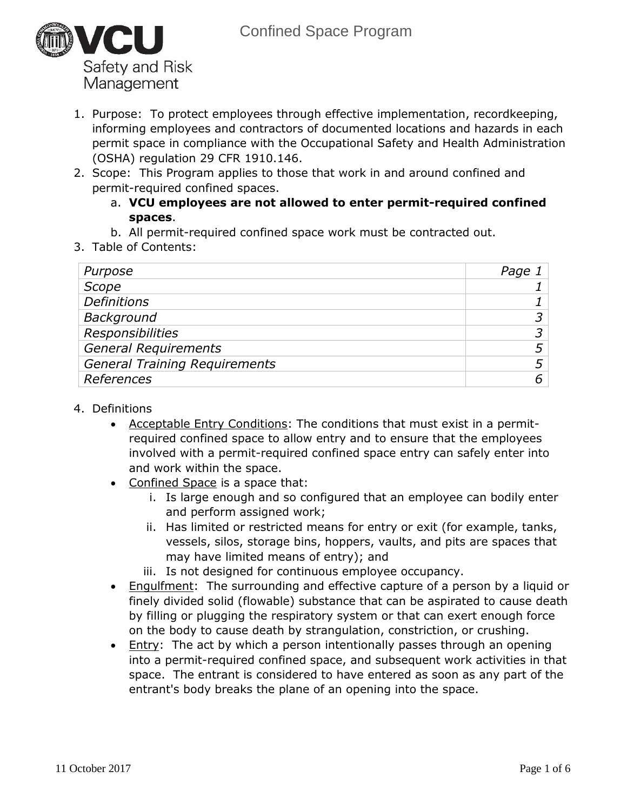

- 1. Purpose: To protect employees through effective implementation, recordkeeping, informing employees and contractors of documented locations and hazards in each permit space in compliance with the Occupational Safety and Health Administration (OSHA) regulation 29 CFR 1910.146.
- 2. Scope: This Program applies to those that work in and around confined and permit-required confined spaces.
	- a. **VCU employees are not allowed to enter permit-required confined spaces**.
	- b. All permit-required confined space work must be contracted out.
- 3. Table of Contents:

| Purpose                              | Page. |
|--------------------------------------|-------|
| Scope                                |       |
| <b>Definitions</b>                   |       |
| Background                           |       |
| <b>Responsibilities</b>              |       |
| <b>General Requirements</b>          |       |
| <b>General Training Requirements</b> |       |
| References                           |       |
|                                      |       |

- 4. Definitions
	- Acceptable Entry Conditions: The conditions that must exist in a permitrequired confined space to allow entry and to ensure that the employees involved with a permit-required confined space entry can safely enter into and work within the space.
	- Confined Space is a space that:
		- i. Is large enough and so configured that an employee can bodily enter and perform assigned work;
		- ii. Has limited or restricted means for entry or exit (for example, tanks, vessels, silos, storage bins, hoppers, vaults, and pits are spaces that may have limited means of entry); and
		- iii. Is not designed for continuous employee occupancy.
	- Engulfment: The surrounding and effective capture of a person by a liquid or finely divided solid (flowable) substance that can be aspirated to cause death by filling or plugging the respiratory system or that can exert enough force on the body to cause death by strangulation, constriction, or crushing.
	- **Entry:** The act by which a person intentionally passes through an opening into a permit-required confined space, and subsequent work activities in that space. The entrant is considered to have entered as soon as any part of the entrant's body breaks the plane of an opening into the space.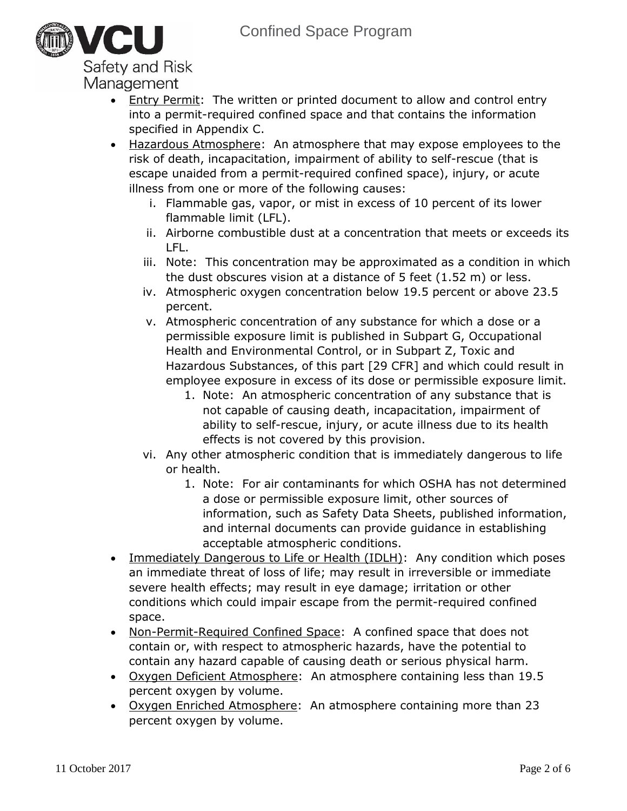

- Entry Permit: The written or printed document to allow and control entry into a permit-required confined space and that contains the information specified in Appendix C.
- Hazardous Atmosphere: An atmosphere that may expose employees to the risk of death, incapacitation, impairment of ability to self-rescue (that is escape unaided from a permit-required confined space), injury, or acute illness from one or more of the following causes:
	- i. Flammable gas, vapor, or mist in excess of 10 percent of its lower flammable limit (LFL).
	- ii. Airborne combustible dust at a concentration that meets or exceeds its LFL.
	- iii. Note: This concentration may be approximated as a condition in which the dust obscures vision at a distance of 5 feet (1.52 m) or less.
	- iv. Atmospheric oxygen concentration below 19.5 percent or above 23.5 percent.
	- v. Atmospheric concentration of any substance for which a dose or a permissible exposure limit is published in Subpart G, Occupational Health and Environmental Control, or in Subpart Z, Toxic and Hazardous Substances, of this part [29 CFR] and which could result in employee exposure in excess of its dose or permissible exposure limit.
		- 1. Note: An atmospheric concentration of any substance that is not capable of causing death, incapacitation, impairment of ability to self-rescue, injury, or acute illness due to its health effects is not covered by this provision.
	- vi. Any other atmospheric condition that is immediately dangerous to life or health.
		- 1. Note: For air contaminants for which OSHA has not determined a dose or permissible exposure limit, other sources of information, such as Safety Data Sheets, published information, and internal documents can provide guidance in establishing acceptable atmospheric conditions.
- Immediately Dangerous to Life or Health (IDLH): Any condition which poses an immediate threat of loss of life; may result in irreversible or immediate severe health effects; may result in eye damage; irritation or other conditions which could impair escape from the permit-required confined space.
- Non-Permit-Required Confined Space: A confined space that does not contain or, with respect to atmospheric hazards, have the potential to contain any hazard capable of causing death or serious physical harm.
- Oxygen Deficient Atmosphere: An atmosphere containing less than 19.5 percent oxygen by volume.
- Oxygen Enriched Atmosphere: An atmosphere containing more than 23 percent oxygen by volume.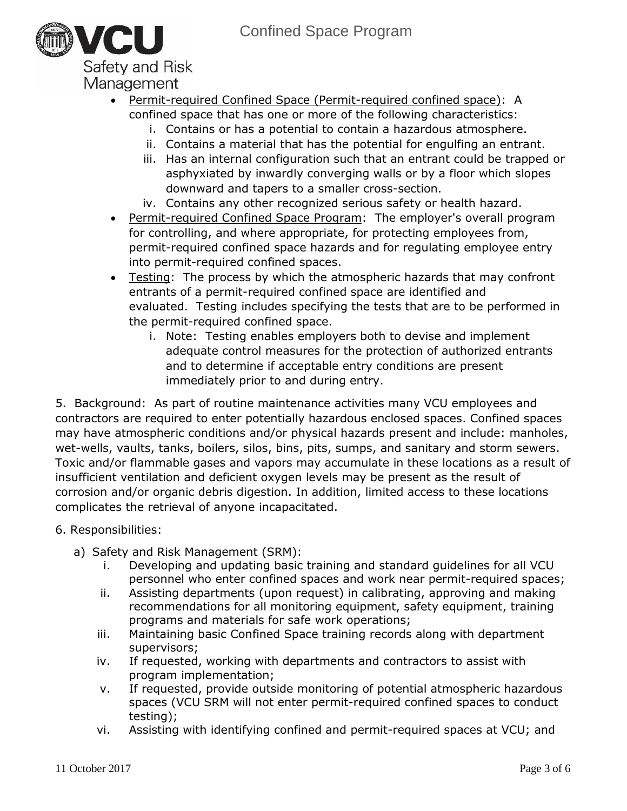

- Permit-required Confined Space (Permit-required confined space): A confined space that has one or more of the following characteristics:
	- i. Contains or has a potential to contain a hazardous atmosphere.
	- ii. Contains a material that has the potential for engulfing an entrant.
	- iii. Has an internal configuration such that an entrant could be trapped or asphyxiated by inwardly converging walls or by a floor which slopes downward and tapers to a smaller cross-section.
	- iv. Contains any other recognized serious safety or health hazard.
- Permit-required Confined Space Program: The employer's overall program for controlling, and where appropriate, for protecting employees from, permit-required confined space hazards and for regulating employee entry into permit-required confined spaces.
- Testing: The process by which the atmospheric hazards that may confront entrants of a permit-required confined space are identified and evaluated. Testing includes specifying the tests that are to be performed in the permit-required confined space.
	- i. Note: Testing enables employers both to devise and implement adequate control measures for the protection of authorized entrants and to determine if acceptable entry conditions are present immediately prior to and during entry.

5. Background: As part of routine maintenance activities many VCU employees and contractors are required to enter potentially hazardous enclosed spaces. Confined spaces may have atmospheric conditions and/or physical hazards present and include: manholes, wet-wells, vaults, tanks, boilers, silos, bins, pits, sumps, and sanitary and storm sewers. Toxic and/or flammable gases and vapors may accumulate in these locations as a result of insufficient ventilation and deficient oxygen levels may be present as the result of corrosion and/or organic debris digestion. In addition, limited access to these locations complicates the retrieval of anyone incapacitated.

- 6. Responsibilities:
	- a) Safety and Risk Management (SRM):
		- i. Developing and updating basic training and standard guidelines for all VCU personnel who enter confined spaces and work near permit-required spaces;
		- ii. Assisting departments (upon request) in calibrating, approving and making recommendations for all monitoring equipment, safety equipment, training programs and materials for safe work operations;
		- iii. Maintaining basic Confined Space training records along with department supervisors;
		- iv. If requested, working with departments and contractors to assist with program implementation;
		- v. If requested, provide outside monitoring of potential atmospheric hazardous spaces (VCU SRM will not enter permit-required confined spaces to conduct testing);
		- vi. Assisting with identifying confined and permit-required spaces at VCU; and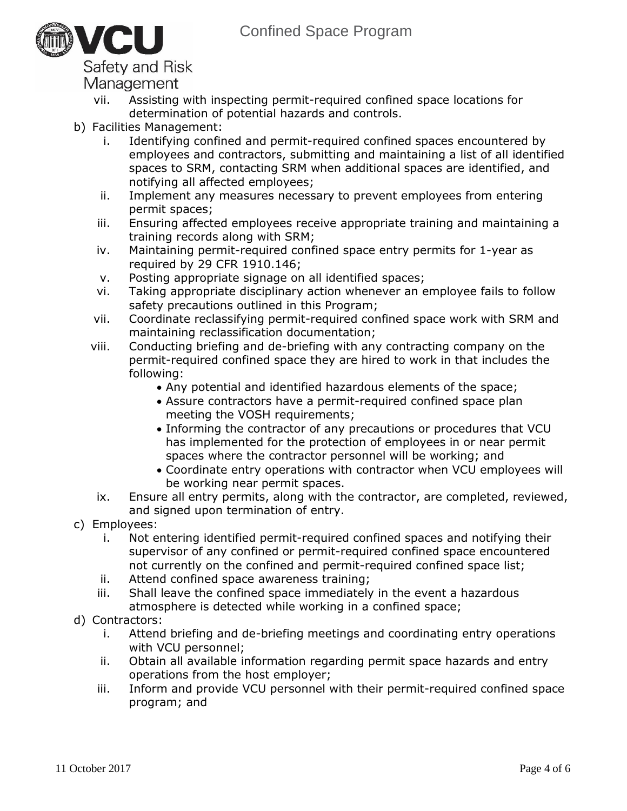

## Safety and Risk

Management

- vii. Assisting with inspecting permit-required confined space locations for determination of potential hazards and controls.
- b) Facilities Management:
	- i. Identifying confined and permit-required confined spaces encountered by employees and contractors, submitting and maintaining a list of all identified spaces to SRM, contacting SRM when additional spaces are identified, and notifying all affected employees;
	- ii. Implement any measures necessary to prevent employees from entering permit spaces;
	- iii. Ensuring affected employees receive appropriate training and maintaining a training records along with SRM;
	- iv. Maintaining permit-required confined space entry permits for 1-year as required by 29 CFR 1910.146;
	- v. Posting appropriate signage on all identified spaces;
	- vi. Taking appropriate disciplinary action whenever an employee fails to follow safety precautions outlined in this Program;
	- vii. Coordinate reclassifying permit-required confined space work with SRM and maintaining reclassification documentation;
	- viii. Conducting briefing and de-briefing with any contracting company on the permit-required confined space they are hired to work in that includes the following:
		- Any potential and identified hazardous elements of the space;
		- Assure contractors have a permit-required confined space plan meeting the VOSH requirements;
		- Informing the contractor of any precautions or procedures that VCU has implemented for the protection of employees in or near permit spaces where the contractor personnel will be working; and
		- Coordinate entry operations with contractor when VCU employees will be working near permit spaces.
	- ix. Ensure all entry permits, along with the contractor, are completed, reviewed, and signed upon termination of entry.
- c) Employees:
	- i. Not entering identified permit-required confined spaces and notifying their supervisor of any confined or permit-required confined space encountered not currently on the confined and permit-required confined space list;
	- ii. Attend confined space awareness training;
	- iii. Shall leave the confined space immediately in the event a hazardous atmosphere is detected while working in a confined space;
- d) Contractors:
	- i. Attend briefing and de-briefing meetings and coordinating entry operations with VCU personnel;
	- ii. Obtain all available information regarding permit space hazards and entry operations from the host employer;
	- iii. Inform and provide VCU personnel with their permit-required confined space program; and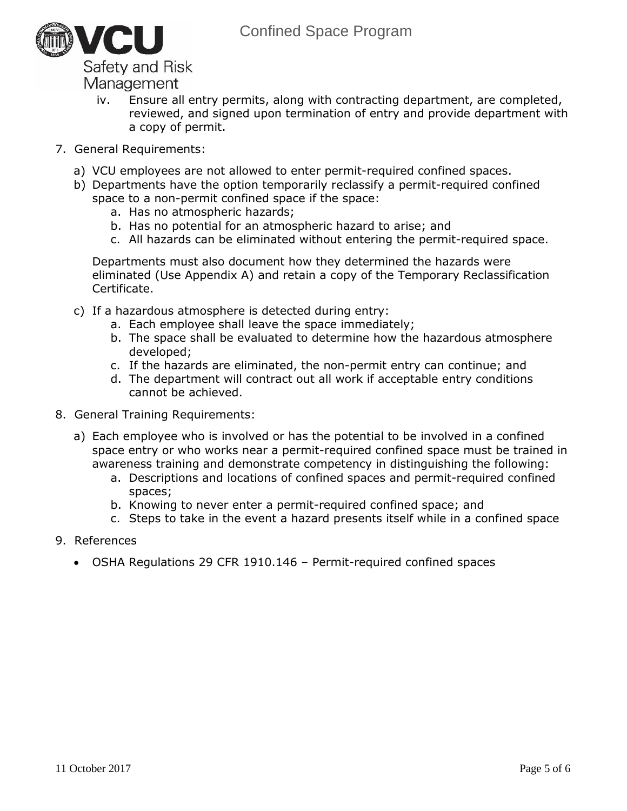

Management

- iv. Ensure all entry permits, along with contracting department, are completed, reviewed, and signed upon termination of entry and provide department with a copy of permit.
- 7. General Requirements:
	- a) VCU employees are not allowed to enter permit-required confined spaces.
	- b) Departments have the option temporarily reclassify a permit-required confined space to a non-permit confined space if the space:
		- a. Has no atmospheric hazards;
		- b. Has no potential for an atmospheric hazard to arise; and
		- c. All hazards can be eliminated without entering the permit-required space.

Departments must also document how they determined the hazards were eliminated (Use Appendix A) and retain a copy of the Temporary Reclassification Certificate.

- c) If a hazardous atmosphere is detected during entry:
	- a. Each employee shall leave the space immediately;
	- b. The space shall be evaluated to determine how the hazardous atmosphere developed;
	- c. If the hazards are eliminated, the non-permit entry can continue; and
	- d. The department will contract out all work if acceptable entry conditions cannot be achieved.
- 8. General Training Requirements:
	- a) Each employee who is involved or has the potential to be involved in a confined space entry or who works near a permit-required confined space must be trained in awareness training and demonstrate competency in distinguishing the following:
		- a. Descriptions and locations of confined spaces and permit-required confined spaces;
		- b. Knowing to never enter a permit-required confined space; and
		- c. Steps to take in the event a hazard presents itself while in a confined space
- 9. References
	- OSHA Regulations 29 CFR 1910.146 Permit-required confined spaces